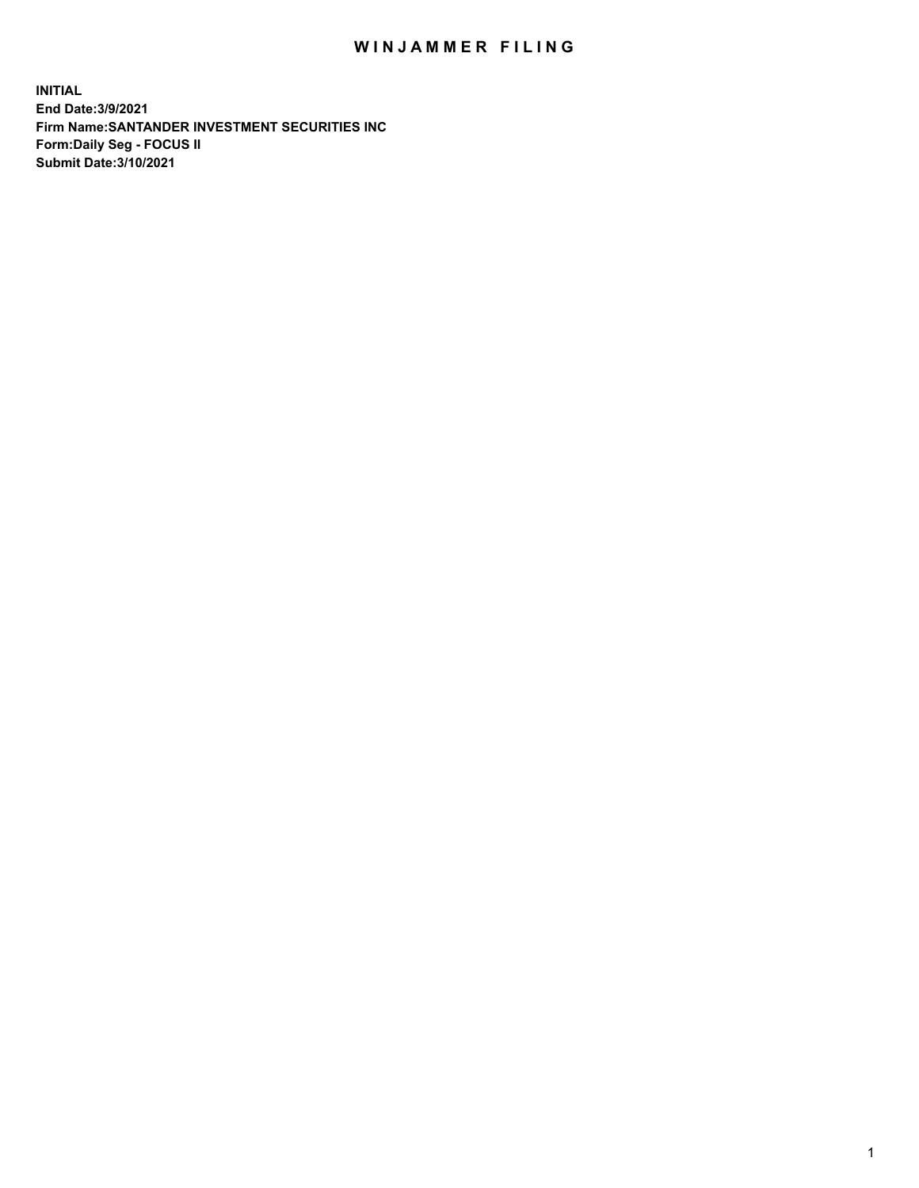## WIN JAMMER FILING

**INITIAL End Date:3/9/2021 Firm Name:SANTANDER INVESTMENT SECURITIES INC Form:Daily Seg - FOCUS II Submit Date:3/10/2021**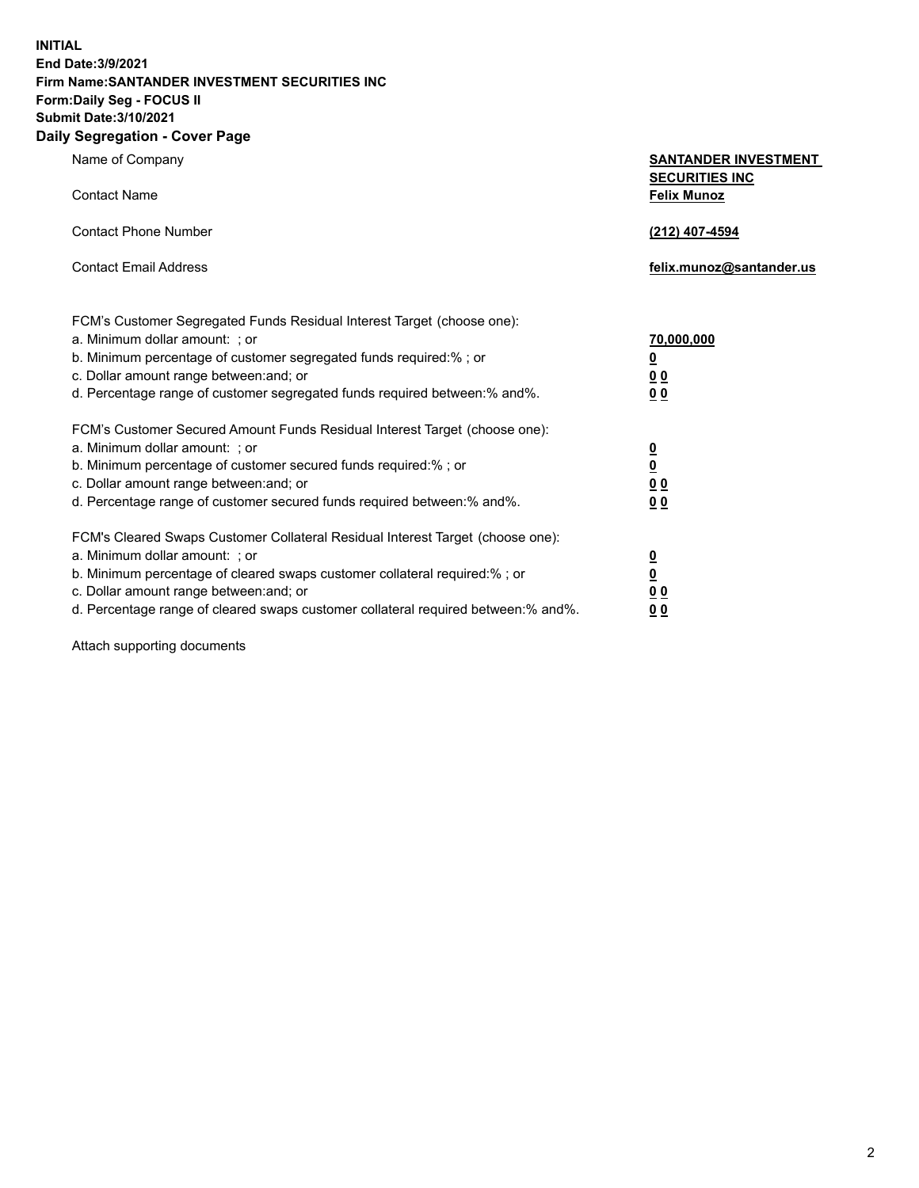**INITIAL End Date:3/9/2021 Firm Name:SANTANDER INVESTMENT SECURITIES INC Form:Daily Seg - FOCUS II Submit Date:3/10/2021 Daily Segregation - Cover Page**

| $\gamma$ ocgi cganon - oo $\gamma$ or - ago                                       |                                                      |
|-----------------------------------------------------------------------------------|------------------------------------------------------|
| Name of Company                                                                   | <b>SANTANDER INVESTMENT</b><br><b>SECURITIES INC</b> |
| <b>Contact Name</b>                                                               | <b>Felix Munoz</b>                                   |
| <b>Contact Phone Number</b>                                                       | (212) 407-4594                                       |
| <b>Contact Email Address</b>                                                      | felix.munoz@santander.us                             |
| FCM's Customer Segregated Funds Residual Interest Target (choose one):            |                                                      |
| a. Minimum dollar amount: ; or                                                    | 70,000,000                                           |
| b. Minimum percentage of customer segregated funds required:%; or                 | <u>0</u>                                             |
| c. Dollar amount range between: and; or                                           | 00                                                   |
| d. Percentage range of customer segregated funds required between:% and%.         | 0 <sub>0</sub>                                       |
| FCM's Customer Secured Amount Funds Residual Interest Target (choose one):        |                                                      |
| a. Minimum dollar amount: ; or                                                    | $\frac{0}{0}$                                        |
| b. Minimum percentage of customer secured funds required:%; or                    |                                                      |
| c. Dollar amount range between: and; or                                           | 0 <sub>0</sub>                                       |
| d. Percentage range of customer secured funds required between: % and %.          | 00                                                   |
| FCM's Cleared Swaps Customer Collateral Residual Interest Target (choose one):    |                                                      |
| a. Minimum dollar amount: ; or                                                    | $\frac{0}{0}$                                        |
| b. Minimum percentage of cleared swaps customer collateral required:% ; or        |                                                      |
| c. Dollar amount range between: and; or                                           | 0 <sub>0</sub>                                       |
| d. Percentage range of cleared swaps customer collateral required between:% and%. | 0 <sub>0</sub>                                       |

Attach supporting documents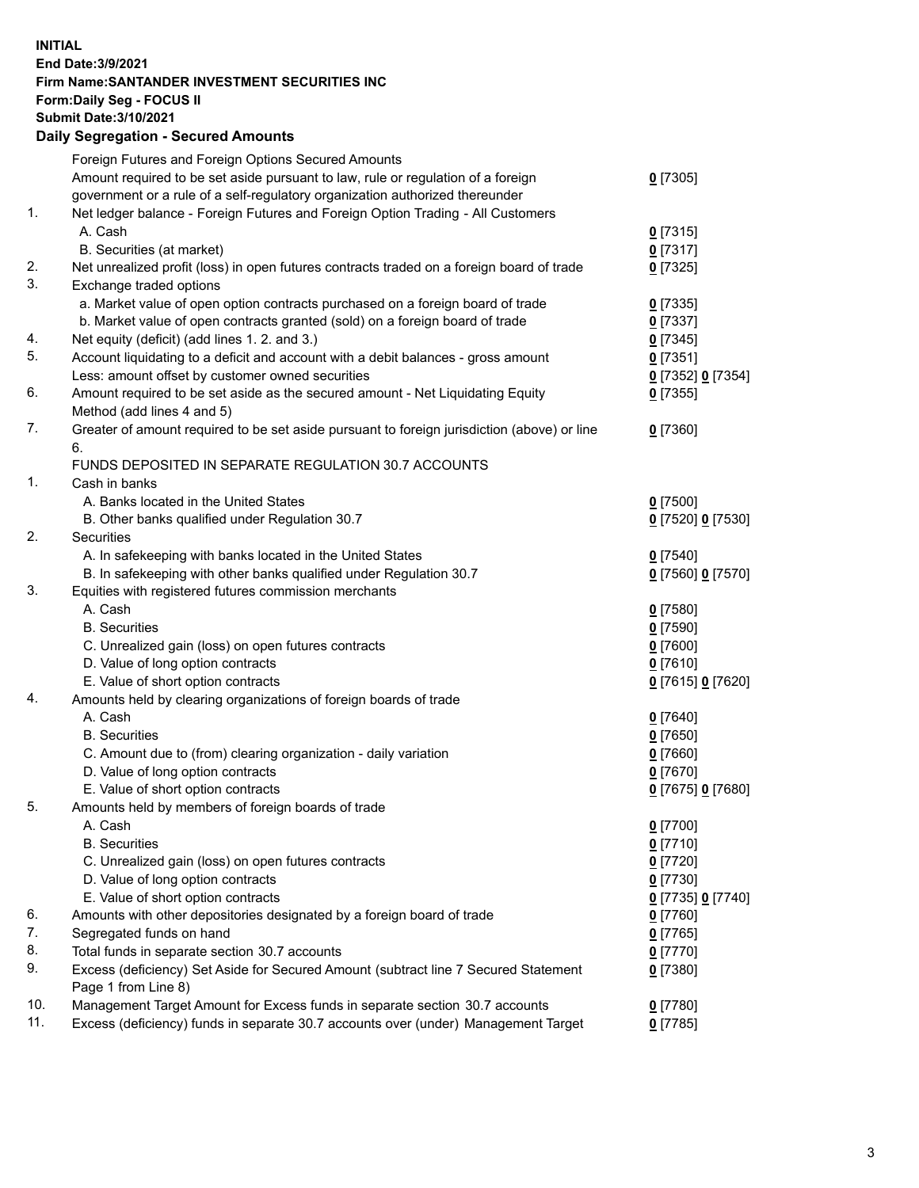## **INITIAL End Date:3/9/2021 Firm Name:SANTANDER INVESTMENT SECURITIES INC Form:Daily Seg - FOCUS II Submit Date:3/10/2021 Daily Segregation - Secured Amounts**

|               | Foreign Futures and Foreign Options Secured Amounts                                         |                   |
|---------------|---------------------------------------------------------------------------------------------|-------------------|
|               | Amount required to be set aside pursuant to law, rule or regulation of a foreign            | $0$ [7305]        |
|               | government or a rule of a self-regulatory organization authorized thereunder                |                   |
| $\mathbf 1$ . | Net ledger balance - Foreign Futures and Foreign Option Trading - All Customers             |                   |
|               | A. Cash                                                                                     | $0$ [7315]        |
|               | B. Securities (at market)                                                                   | $0$ [7317]        |
| 2.            | Net unrealized profit (loss) in open futures contracts traded on a foreign board of trade   | $0$ [7325]        |
| 3.            | Exchange traded options                                                                     |                   |
|               | a. Market value of open option contracts purchased on a foreign board of trade              | $0$ [7335]        |
|               | b. Market value of open contracts granted (sold) on a foreign board of trade                | $0$ [7337]        |
| 4.            | Net equity (deficit) (add lines 1. 2. and 3.)                                               | $0$ [7345]        |
| 5.            | Account liquidating to a deficit and account with a debit balances - gross amount           | $0$ [7351]        |
|               | Less: amount offset by customer owned securities                                            | 0 [7352] 0 [7354] |
| 6.            | Amount required to be set aside as the secured amount - Net Liquidating Equity              | $0$ [7355]        |
|               | Method (add lines 4 and 5)                                                                  |                   |
| 7.            | Greater of amount required to be set aside pursuant to foreign jurisdiction (above) or line | $0$ [7360]        |
|               | 6.                                                                                          |                   |
|               | FUNDS DEPOSITED IN SEPARATE REGULATION 30.7 ACCOUNTS                                        |                   |
| 1.            | Cash in banks                                                                               |                   |
|               | A. Banks located in the United States                                                       | $0$ [7500]        |
|               | B. Other banks qualified under Regulation 30.7                                              | 0 [7520] 0 [7530] |
| 2.            | Securities                                                                                  |                   |
|               | A. In safekeeping with banks located in the United States                                   | $0$ [7540]        |
|               | B. In safekeeping with other banks qualified under Regulation 30.7                          | 0 [7560] 0 [7570] |
| 3.            | Equities with registered futures commission merchants                                       |                   |
|               | A. Cash                                                                                     | $0$ [7580]        |
|               | <b>B.</b> Securities                                                                        | $0$ [7590]        |
|               | C. Unrealized gain (loss) on open futures contracts                                         | $0$ [7600]        |
|               | D. Value of long option contracts                                                           | $0$ [7610]        |
|               | E. Value of short option contracts                                                          | 0 [7615] 0 [7620] |
| 4.            | Amounts held by clearing organizations of foreign boards of trade                           |                   |
|               | A. Cash                                                                                     | $0$ [7640]        |
|               | <b>B.</b> Securities                                                                        | $0$ [7650]        |
|               | C. Amount due to (from) clearing organization - daily variation                             | $0$ [7660]        |
|               | D. Value of long option contracts                                                           | $0$ [7670]        |
|               | E. Value of short option contracts                                                          | 0 [7675] 0 [7680] |
| 5.            | Amounts held by members of foreign boards of trade                                          |                   |
|               | A. Cash                                                                                     | $0$ [7700]        |
|               | <b>B.</b> Securities                                                                        | $0$ [7710]        |
|               | C. Unrealized gain (loss) on open futures contracts                                         | $0$ [7720]        |
|               | D. Value of long option contracts                                                           | $0$ [7730]        |
|               | E. Value of short option contracts                                                          | 0 [7735] 0 [7740] |
| 6.            | Amounts with other depositories designated by a foreign board of trade                      | $0$ [7760]        |
| 7.            | Segregated funds on hand                                                                    | $0$ [7765]        |
| 8.            | Total funds in separate section 30.7 accounts                                               | $0$ [7770]        |
| 9.            | Excess (deficiency) Set Aside for Secured Amount (subtract line 7 Secured Statement         | $0$ [7380]        |
|               | Page 1 from Line 8)                                                                         |                   |
| 10.           | Management Target Amount for Excess funds in separate section 30.7 accounts                 | $0$ [7780]        |
| 11.           | Excess (deficiency) funds in separate 30.7 accounts over (under) Management Target          | $0$ [7785]        |
|               |                                                                                             |                   |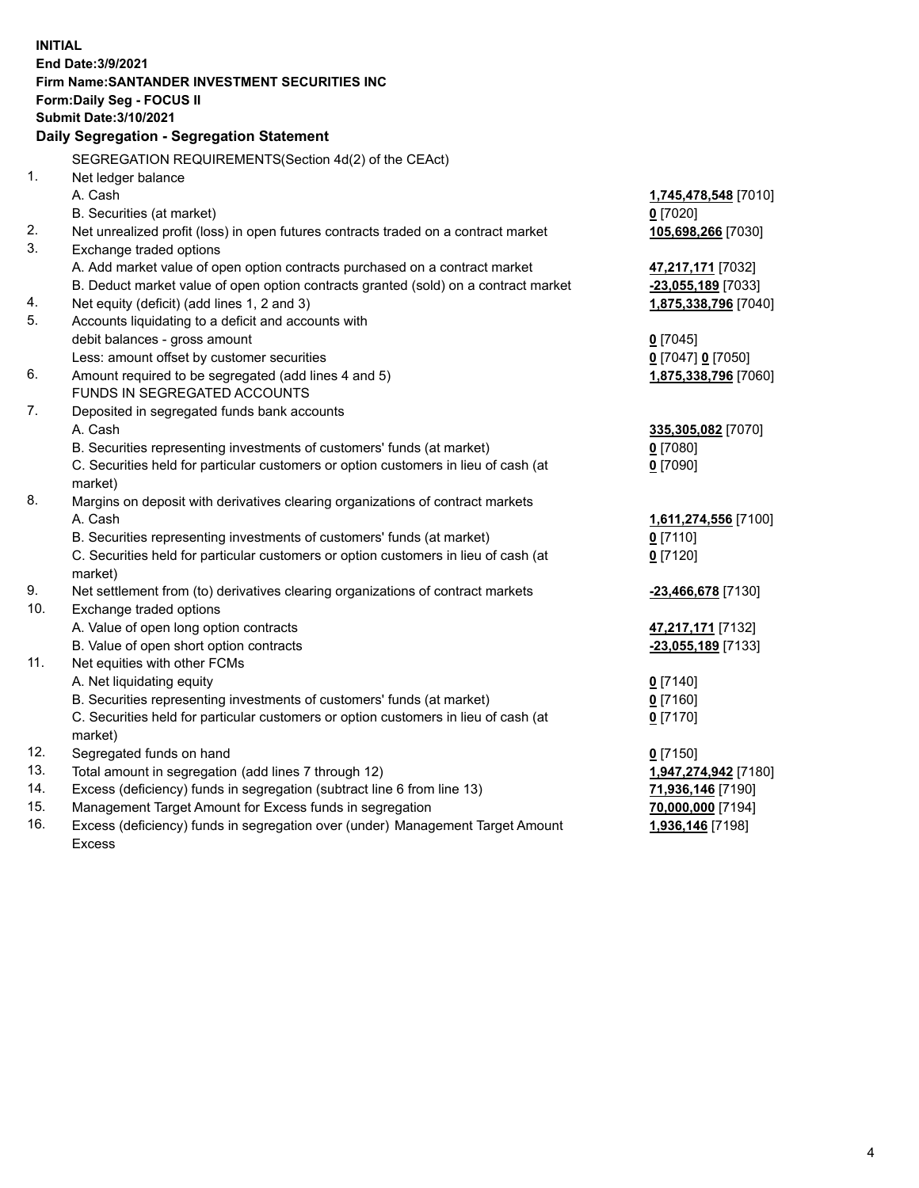| <b>INITIAL</b> | End Date: 3/9/2021<br>Firm Name: SANTANDER INVESTMENT SECURITIES INC<br>Form: Daily Seg - FOCUS II            |                                           |
|----------------|---------------------------------------------------------------------------------------------------------------|-------------------------------------------|
|                | <b>Submit Date: 3/10/2021</b>                                                                                 |                                           |
|                | Daily Segregation - Segregation Statement                                                                     |                                           |
|                | SEGREGATION REQUIREMENTS(Section 4d(2) of the CEAct)                                                          |                                           |
| 1.             | Net ledger balance                                                                                            |                                           |
|                | A. Cash                                                                                                       | 1,745,478,548 [7010]                      |
|                | B. Securities (at market)                                                                                     | $0$ [7020]                                |
| 2.<br>3.       | Net unrealized profit (loss) in open futures contracts traded on a contract market<br>Exchange traded options | 105,698,266 [7030]                        |
|                | A. Add market value of open option contracts purchased on a contract market                                   |                                           |
|                | B. Deduct market value of open option contracts granted (sold) on a contract market                           | 47,217,171 [7032]<br>$-23,055,189$ [7033] |
| 4.             | Net equity (deficit) (add lines 1, 2 and 3)                                                                   | 1,875,338,796 [7040]                      |
| 5.             | Accounts liquidating to a deficit and accounts with                                                           |                                           |
|                | debit balances - gross amount                                                                                 | $0$ [7045]                                |
|                | Less: amount offset by customer securities                                                                    | 0 [7047] 0 [7050]                         |
| 6.             | Amount required to be segregated (add lines 4 and 5)                                                          | 1,875,338,796 [7060]                      |
|                | FUNDS IN SEGREGATED ACCOUNTS                                                                                  |                                           |
| 7.             | Deposited in segregated funds bank accounts                                                                   |                                           |
|                | A. Cash                                                                                                       | 335,305,082 [7070]                        |
|                | B. Securities representing investments of customers' funds (at market)                                        | $0$ [7080]                                |
|                | C. Securities held for particular customers or option customers in lieu of cash (at                           | $0$ [7090]                                |
|                | market)                                                                                                       |                                           |
| 8.             | Margins on deposit with derivatives clearing organizations of contract markets                                |                                           |
|                | A. Cash                                                                                                       | 1,611,274,556 [7100]                      |
|                | B. Securities representing investments of customers' funds (at market)                                        | $0$ [7110]                                |
|                | C. Securities held for particular customers or option customers in lieu of cash (at                           | $0$ [7120]                                |
| 9.             | market)                                                                                                       |                                           |
| 10.            | Net settlement from (to) derivatives clearing organizations of contract markets<br>Exchange traded options    | -23,466,678 [7130]                        |
|                | A. Value of open long option contracts                                                                        | 47,217,171 [7132]                         |
|                | B. Value of open short option contracts                                                                       | -23,055,189 [7133]                        |
| 11.            | Net equities with other FCMs                                                                                  |                                           |
|                | A. Net liquidating equity                                                                                     | $0$ [7140]                                |
|                | B. Securities representing investments of customers' funds (at market)                                        | $0$ [7160]                                |
|                | C. Securities held for particular customers or option customers in lieu of cash (at                           | $0$ [7170]                                |
|                | market)                                                                                                       |                                           |
| 12.            | Segregated funds on hand                                                                                      | $0$ [7150]                                |
| 13.            | Total amount in segregation (add lines 7 through 12)                                                          | 1,947,274,942 [7180]                      |
| 14.            | Excess (deficiency) funds in segregation (subtract line 6 from line 13)                                       | 71,936,146 [7190]                         |
| 15.            | Management Target Amount for Excess funds in segregation                                                      | 70,000,000 [7194]                         |
| 16.            | Excess (deficiency) funds in segregation over (under) Management Target Amount                                | 1,936,146 [7198]                          |
|                | Excess                                                                                                        |                                           |